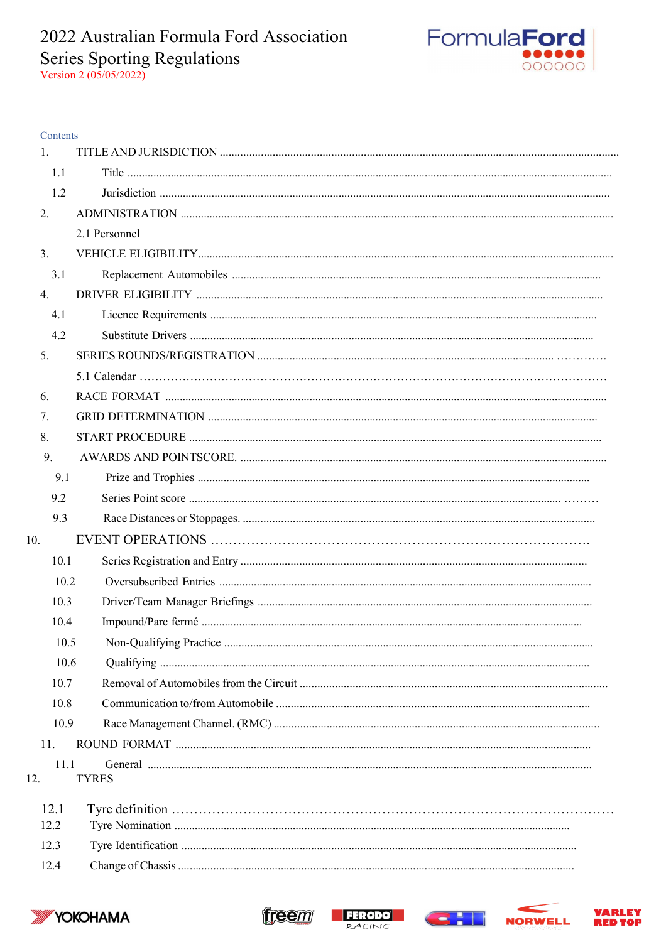# 2022 Australian Formula Ford Association Series Sporting Regulations<br>Version 2 (05/05/2022)



| ſ | <b>Contents</b> |  |  |
|---|-----------------|--|--|

| 1.           |               |
|--------------|---------------|
| 1.1          |               |
| 1.2          |               |
| 2.           |               |
|              | 2.1 Personnel |
| 3.           |               |
| 3.1          |               |
| 4.           |               |
| 4.1          |               |
| 4.2          |               |
| 5.           |               |
|              |               |
| 6.           |               |
| 7.           |               |
| 8.           |               |
| 9.           |               |
| 9.1          |               |
| 9.2          |               |
| 9.3          |               |
| 10.          |               |
| 10.1         |               |
| 10.2         |               |
| 10.3         |               |
| 10.4         |               |
| 10.5         |               |
| 10.6         |               |
| 10.7         |               |
| 10.8         |               |
| 10.9         |               |
| 11.          |               |
| 11.1<br>l2.  | <b>TYRES</b>  |
| 12.1<br>12.2 |               |

FERODO

RACING

freem



 $12.3$ 

12.4

YOKOHAMA

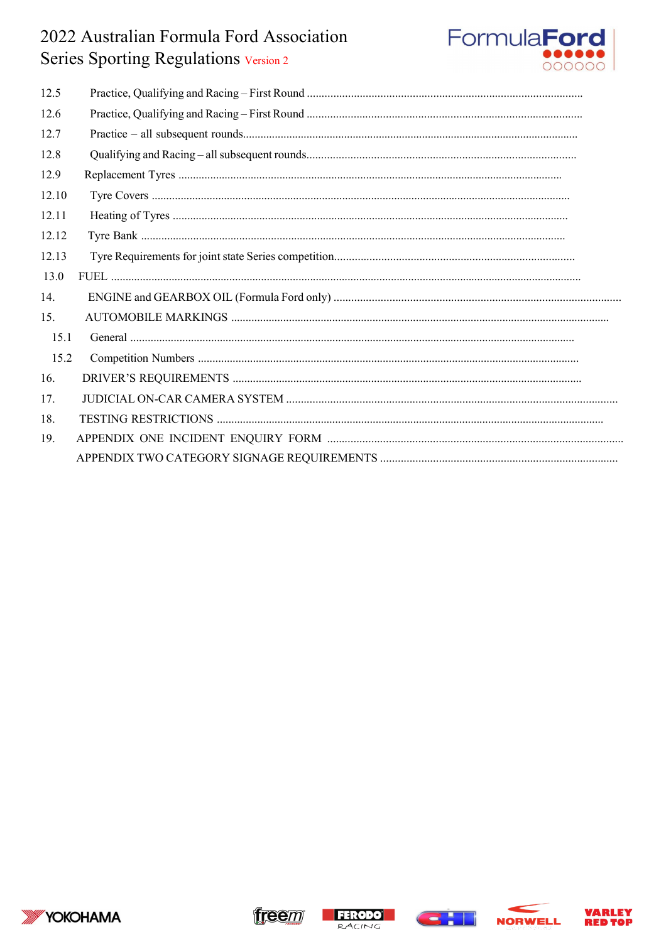

| 12.5            |  |
|-----------------|--|
| 12.6            |  |
| 12.7            |  |
| 12.8            |  |
| 12.9            |  |
| 12.10           |  |
| 12.11           |  |
| 12.12           |  |
| 12.13           |  |
| 13.0            |  |
| 14.             |  |
| 15.             |  |
| 15.1            |  |
| 15.2            |  |
| 16.             |  |
| 17 <sub>1</sub> |  |
| 18.             |  |
| 19.             |  |
|                 |  |











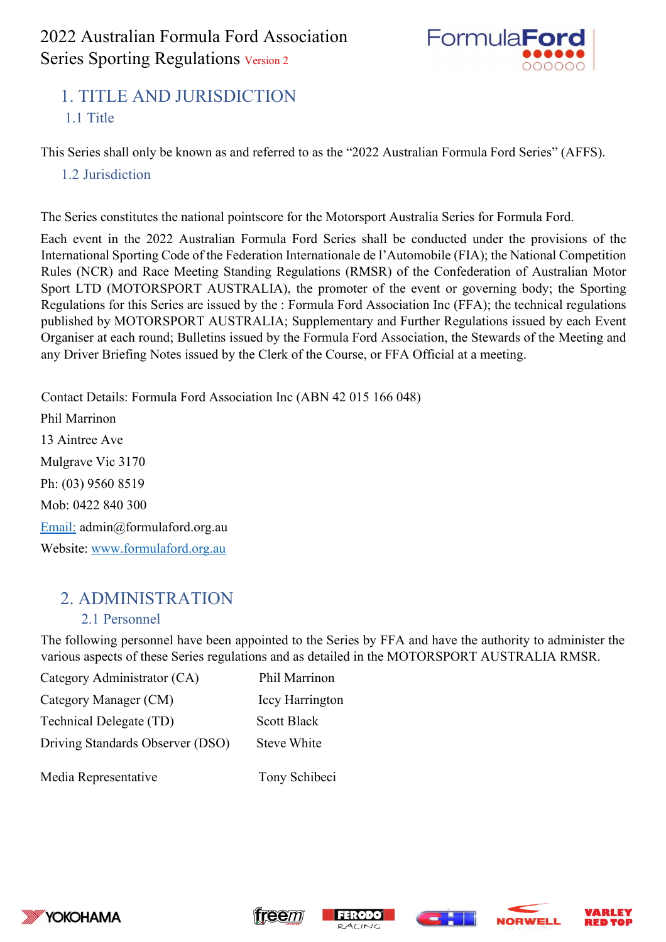

## 1. TITLE AND JURISDICTION 1.1 Title

This Series shall only be known as and referred to as the "2022 Australian Formula Ford Series" (AFFS).

#### 1.2 Jurisdiction

The Series constitutes the national pointscore for the Motorsport Australia Series for Formula Ford.

Each event in the 2022 Australian Formula Ford Series shall be conducted under the provisions of the International Sporting Code of the Federation Internationale de l'Automobile (FIA); the National Competition Rules (NCR) and Race Meeting Standing Regulations (RMSR) of the Confederation of Australian Motor Sport LTD (MOTORSPORT AUSTRALIA), the promoter of the event or governing body; the Sporting Regulations for this Series are issued by the : Formula Ford Association Inc (FFA); the technical regulations published by MOTORSPORT AUSTRALIA; Supplementary and Further Regulations issued by each Event Organiser at each round; Bulletins issued by the Formula Ford Association, the Stewards of the Meeting and any Driver Briefing Notes issued by the Clerk of the Course, or FFA Official at a meeting.

Contact Details: Formula Ford Association Inc (ABN 42 015 166 048) Phil Marrinon 13 Aintree Ave Mulgrave Vic 3170 Ph: (03) 9560 8519 Mob: 0422 840 300 Email: [admin@formulaford.org.au](mailto:admin@formulaford.org.au) Website: [www.formulaford.org.au](http://www.formulaford.org.au/)

# 2. ADMINISTRATION

#### 2.1 Personnel

The following personnel have been appointed to the Series by FFA and have the authority to administer the various aspects of these Series regulations and as detailed in the MOTORSPORT AUSTRALIA RMSR.

Category Administrator (CA) Phil Marrinon Category Manager (CM) Iccy Harrington Technical Delegate (TD) Scott Black Driving Standards Observer (DSO) Steve White

Media Representative Tony Schibeci











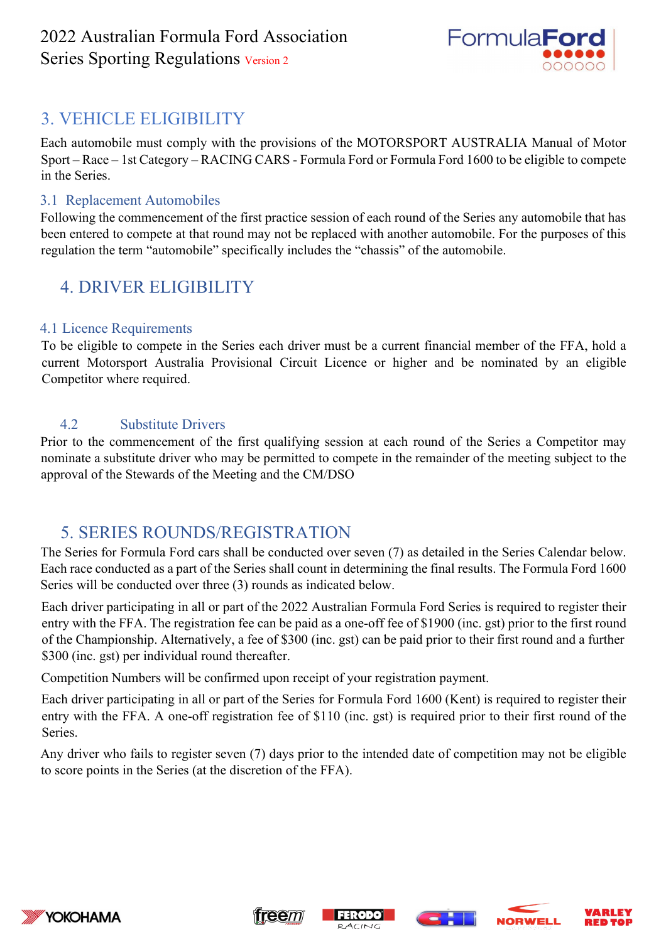

### 3. VEHICLE ELIGIBILITY

Each automobile must comply with the provisions of the MOTORSPORT AUSTRALIA Manual of Motor Sport – Race – 1st Category – RACING CARS - Formula Ford or Formula Ford 1600 to be eligible to compete in the Series.

#### 3.1 Replacement Automobiles

Following the commencement of the first practice session of each round of the Series any automobile that has been entered to compete at that round may not be replaced with another automobile. For the purposes of this regulation the term "automobile" specifically includes the "chassis" of the automobile.

# 4. DRIVER ELIGIBILITY

#### 4.1 Licence Requirements

To be eligible to compete in the Series each driver must be a current financial member of the FFA, hold a current Motorsport Australia Provisional Circuit Licence or higher and be nominated by an eligible Competitor where required.

#### 4.2 Substitute Drivers

Prior to the commencement of the first qualifying session at each round of the Series a Competitor may nominate a substitute driver who may be permitted to compete in the remainder of the meeting subject to the approval of the Stewards of the Meeting and the CM/DSO

### 5. SERIES ROUNDS/REGISTRATION

The Series for Formula Ford cars shall be conducted over seven (7) as detailed in the Series Calendar below. Each race conducted as a part of the Series shall count in determining the final results. The Formula Ford 1600 Series will be conducted over three (3) rounds as indicated below.

Each driver participating in all or part of the 2022 Australian Formula Ford Series is required to register their entry with the FFA. The registration fee can be paid as a one-off fee of \$1900 (inc. gst) prior to the first round of the Championship. Alternatively, a fee of \$300 (inc. gst) can be paid prior to their first round and a further \$300 (inc. gst) per individual round thereafter.

Competition Numbers will be confirmed upon receipt of your registration payment.

Each driver participating in all or part of the Series for Formula Ford 1600 (Kent) is required to register their entry with the FFA. A one-off registration fee of \$110 (inc. gst) is required prior to their first round of the Series.

Any driver who fails to register seven (7) days prior to the intended date of competition may not be eligible to score points in the Series (at the discretion of the FFA).











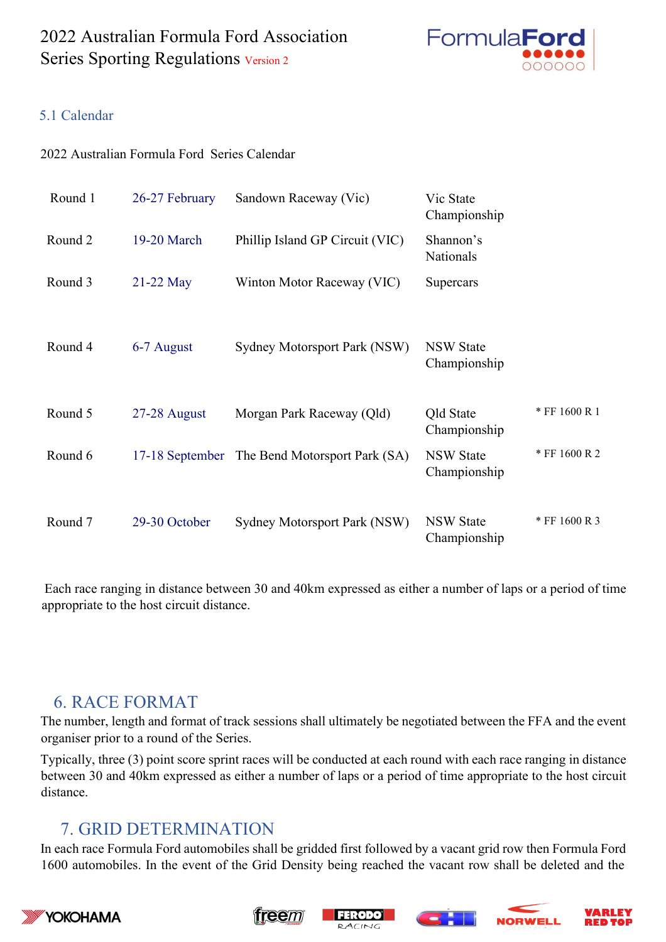

#### 5.1 Calendar

2022 Australian Formula Ford Series Calendar

| Round 1 | 26-27 February | Sandown Raceway (Vic)                         | Vic State<br>Championship        |               |
|---------|----------------|-----------------------------------------------|----------------------------------|---------------|
| Round 2 | 19-20 March    | Phillip Island GP Circuit (VIC)               | Shannon's<br><b>Nationals</b>    |               |
| Round 3 | $21-22$ May    | Winton Motor Raceway (VIC)                    | Supercars                        |               |
| Round 4 | 6-7 August     | <b>Sydney Motorsport Park (NSW)</b>           | <b>NSW State</b><br>Championship |               |
| Round 5 | 27-28 August   | Morgan Park Raceway (Qld)                     | Qld State<br>Championship        | * FF 1600 R 1 |
| Round 6 |                | 17-18 September The Bend Motorsport Park (SA) | <b>NSW State</b><br>Championship | *FF 1600 R 2  |
| Round 7 | 29-30 October  | <b>Sydney Motorsport Park (NSW)</b>           | <b>NSW State</b><br>Championship | * FF 1600 R 3 |

Each race ranging in distance between 30 and 40km expressed as either a number of laps or a period of time appropriate to the host circuit distance.

### 6. RACE FORMAT

The number, length and format of track sessions shall ultimately be negotiated between the FFA and the event organiser prior to a round of the Series.

Typically, three (3) point score sprint races will be conducted at each round with each race ranging in distance between 30 and 40km expressed as either a number of laps or a period of time appropriate to the host circuit distance.

### 7. GRID DETERMINATION

In each race Formula Ford automobiles shall be gridded first followed by a vacant grid row then Formula Ford 1600 automobiles. In the event of the Grid Density being reached the vacant row shall be deleted and the











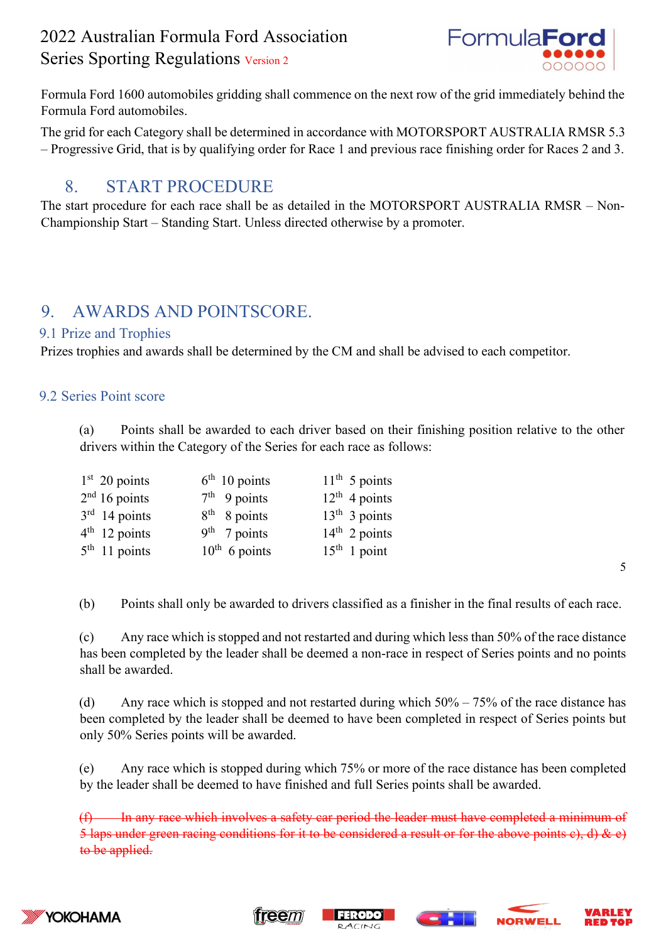

Formula Ford 1600 automobiles gridding shall commence on the next row of the grid immediately behind the Formula Ford automobiles.

The grid for each Category shall be determined in accordance with MOTORSPORT AUSTRALIA RMSR 5.3 – Progressive Grid, that is by qualifying order for Race 1 and previous race finishing order for Races 2 and 3.

### 8. START PROCEDURE

The start procedure for each race shall be as detailed in the MOTORSPORT AUSTRALIA RMSR – Non-Championship Start – Standing Start. Unless directed otherwise by a promoter.

### 9. AWARDS AND POINTSCORE.

#### 9.1 Prize and Trophies

Prizes trophies and awards shall be determined by the CM and shall be advised to each competitor.

#### 9.2 Series Point score

(a) Points shall be awarded to each driver based on their finishing position relative to the other drivers within the Category of the Series for each race as follows:

| $1st$ 20 points           | 6 <sup>th</sup> 10 points | $11th$ 5 points |
|---------------------------|---------------------------|-----------------|
| 2 <sup>nd</sup> 16 points | $7th$ 9 points            | $12th$ 4 points |
| $3rd$ 14 points           | $8th$ 8 points            | $13th$ 3 points |
| $4th$ 12 points           | $9th$ 7 points            | $14th$ 2 points |
| $5th$ 11 points           | $10^{th}$ 6 points        | $15th$ 1 point  |

5

(b) Points shall only be awarded to drivers classified as a finisher in the final results of each race.

(c) Any race which isstopped and not restarted and during which less than 50% of the race distance has been completed by the leader shall be deemed a non-race in respect of Series points and no points shall be awarded.

(d) Any race which is stopped and not restarted during which  $50\% - 75\%$  of the race distance has been completed by the leader shall be deemed to have been completed in respect of Series points but only 50% Series points will be awarded.

(e) Any race which is stopped during which 75% or more of the race distance has been completed by the leader shall be deemed to have finished and full Series points shall be awarded.

(f) In any race which involves a safety car period the leader must have completed a minimum of 5 laps under green racing conditions for it to be considered a result or for the above points c), d) & e) to be applied.











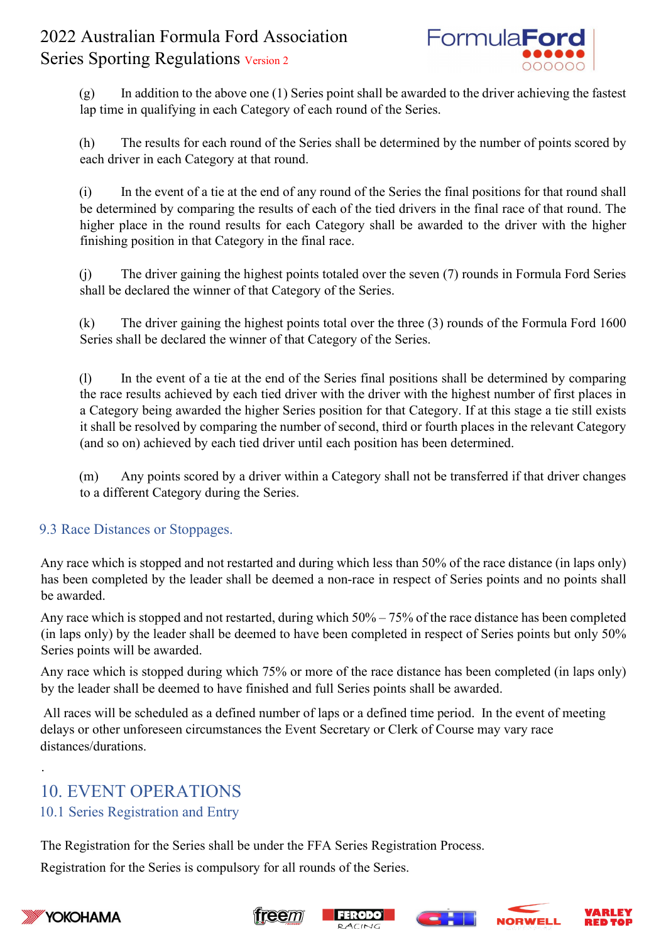

 $(g)$  In addition to the above one (1) Series point shall be awarded to the driver achieving the fastest lap time in qualifying in each Category of each round of the Series.

(h) The results for each round of the Series shall be determined by the number of points scored by each driver in each Category at that round.

(i) In the event of a tie at the end of any round of the Series the final positions for that round shall be determined by comparing the results of each of the tied drivers in the final race of that round. The higher place in the round results for each Category shall be awarded to the driver with the higher finishing position in that Category in the final race.

(j) The driver gaining the highest points totaled over the seven (7) rounds in Formula Ford Series shall be declared the winner of that Category of the Series.

(k) The driver gaining the highest points total over the three (3) rounds of the Formula Ford 1600 Series shall be declared the winner of that Category of the Series.

(l) In the event of a tie at the end of the Series final positions shall be determined by comparing the race results achieved by each tied driver with the driver with the highest number of first places in a Category being awarded the higher Series position for that Category. If at this stage a tie still exists it shall be resolved by comparing the number of second, third or fourth places in the relevant Category (and so on) achieved by each tied driver until each position has been determined.

(m) Any points scored by a driver within a Category shall not be transferred if that driver changes to a different Category during the Series.

#### 9.3 Race Distances or Stoppages.

Any race which is stopped and not restarted and during which less than 50% of the race distance (in laps only) has been completed by the leader shall be deemed a non-race in respect of Series points and no points shall be awarded.

Any race which is stopped and not restarted, during which 50% – 75% of the race distance has been completed (in laps only) by the leader shall be deemed to have been completed in respect of Series points but only 50% Series points will be awarded.

Any race which is stopped during which 75% or more of the race distance has been completed (in laps only) by the leader shall be deemed to have finished and full Series points shall be awarded.

All races will be scheduled as a defined number of laps or a defined time period. In the event of meeting delays or other unforeseen circumstances the Event Secretary or Clerk of Course may vary race distances/durations.

# 10. EVENT OPERATIONS

#### 10.1 Series Registration and Entry

The Registration for the Series shall be under the FFA Series Registration Process.

Registration for the Series is compulsory for all rounds of the Series.



.









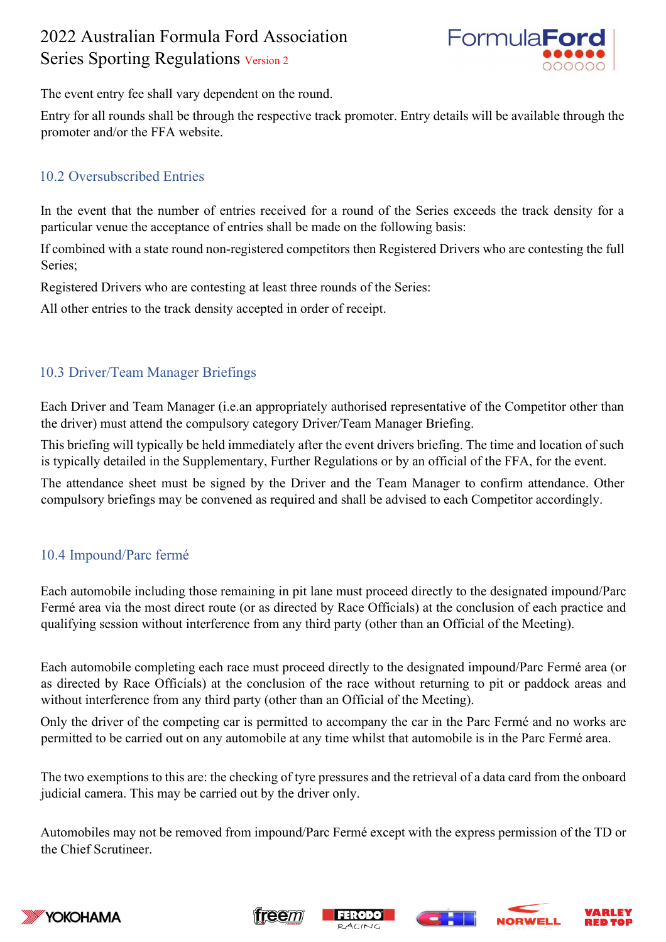

The event entry fee shall vary dependent on the round.

Entry for all rounds shall be through the respective track promoter. Entry details will be available through the promoter and/or the FFA website.

#### 10.2 Oversubscribed Entries

In the event that the number of entries received for a round of the Series exceeds the track density for a particular venue the acceptance of entries shall be made on the following basis:

If combined with a state round non-registered competitors then Registered Drivers who are contesting the full Series;

Registered Drivers who are contesting at least three rounds of the Series:

All other entries to the track density accepted in order of receipt.

#### 10.3 Driver/Team Manager Briefings

Each Driver and Team Manager (i.e.an appropriately authorised representative of the Competitor other than the driver) must attend the compulsory category Driver/Team Manager Briefing.

This briefing will typically be held immediately after the event drivers briefing. The time and location of such is typically detailed in the Supplementary, Further Regulations or by an official of the FFA, for the event.

The attendance sheet must be signed by the Driver and the Team Manager to confirm attendance. Other compulsory briefings may be convened as required and shall be advised to each Competitor accordingly.

#### 10.4 Impound/Parc fermé

Each automobile including those remaining in pit lane must proceed directly to the designated impound/Parc Fermé area via the most direct route (or as directed by Race Officials) at the conclusion of each practice and qualifying session without interference from any third party (other than an Official of the Meeting).

Each automobile completing each race must proceed directly to the designated impound/Parc Fermé area (or as directed by Race Officials) at the conclusion of the race without returning to pit or paddock areas and without interference from any third party (other than an Official of the Meeting).

Only the driver of the competing car is permitted to accompany the car in the Parc Fermé and no works are permitted to be carried out on any automobile at any time whilst that automobile is in the Parc Fermé area.

The two exemptions to this are: the checking of tyre pressures and the retrieval of a data card from the onboard judicial camera. This may be carried out by the driver only.

Automobiles may not be removed from impound/Parc Fermé except with the express permission of the TD or the Chief Scrutineer.











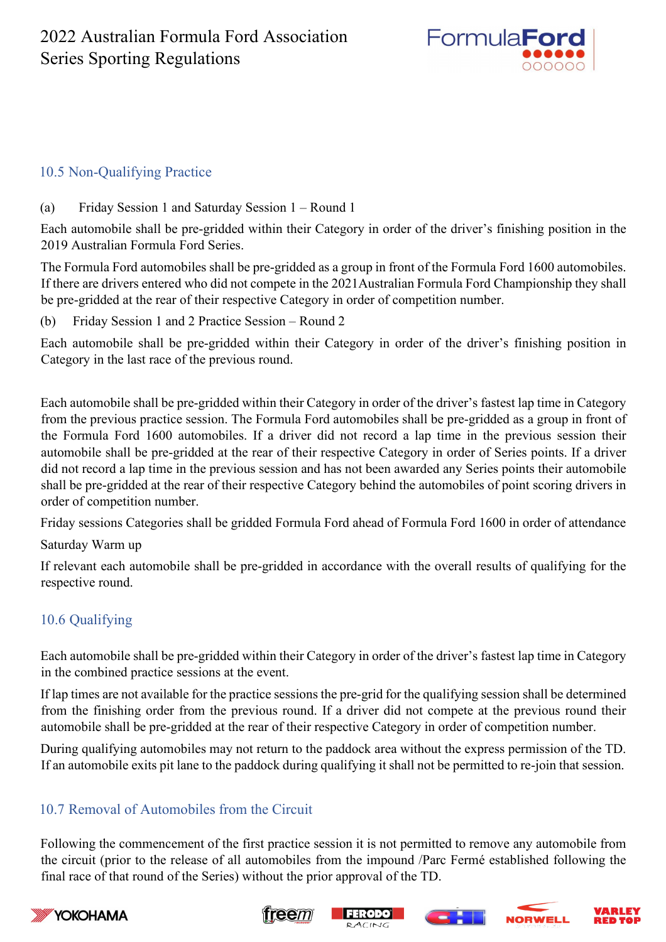

#### 10.5 Non-Qualifying Practice

#### (a) Friday Session 1 and Saturday Session 1 – Round 1

Each automobile shall be pre-gridded within their Category in order of the driver's finishing position in the 2019 Australian Formula Ford Series.

The Formula Ford automobiles shall be pre-gridded as a group in front of the Formula Ford 1600 automobiles. If there are drivers entered who did not compete in the 2021Australian Formula Ford Championship they shall be pre-gridded at the rear of their respective Category in order of competition number.

(b) Friday Session 1 and 2 Practice Session – Round 2

Each automobile shall be pre-gridded within their Category in order of the driver's finishing position in Category in the last race of the previous round.

Each automobile shall be pre-gridded within their Category in order of the driver's fastest lap time in Category from the previous practice session. The Formula Ford automobiles shall be pre-gridded as a group in front of the Formula Ford 1600 automobiles. If a driver did not record a lap time in the previous session their automobile shall be pre-gridded at the rear of their respective Category in order of Series points. If a driver did not record a lap time in the previous session and has not been awarded any Series points their automobile shall be pre-gridded at the rear of their respective Category behind the automobiles of point scoring drivers in order of competition number.

Friday sessions Categories shall be gridded Formula Ford ahead of Formula Ford 1600 in order of attendance

Saturday Warm up

If relevant each automobile shall be pre-gridded in accordance with the overall results of qualifying for the respective round.

#### 10.6 Qualifying

Each automobile shall be pre-gridded within their Category in order of the driver's fastest lap time in Category in the combined practice sessions at the event.

If lap times are not available for the practice sessions the pre-grid for the qualifying session shall be determined from the finishing order from the previous round. If a driver did not compete at the previous round their automobile shall be pre-gridded at the rear of their respective Category in order of competition number.

During qualifying automobiles may not return to the paddock area without the express permission of the TD. If an automobile exits pit lane to the paddock during qualifying it shall not be permitted to re-join that session.

#### 10.7 Removal of Automobiles from the Circuit

Following the commencement of the first practice session it is not permitted to remove any automobile from the circuit (prior to the release of all automobiles from the impound /Parc Fermé established following the final race of that round of the Series) without the prior approval of the TD.











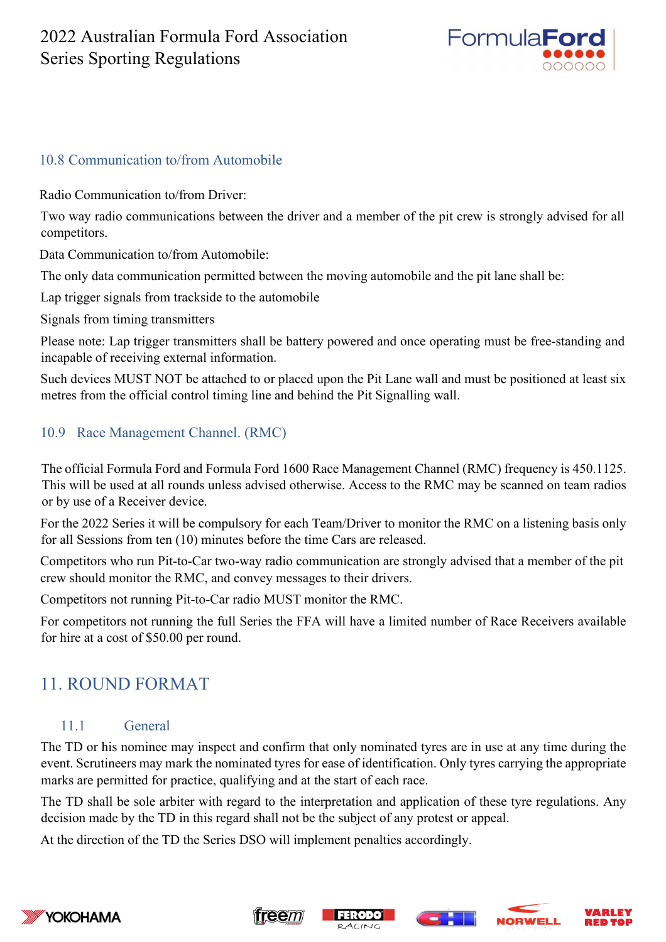

#### 10.8 Communication to/from Automobile

Radio Communication to/from Driver:

Two way radio communications between the driver and a member of the pit crew is strongly advised for all competitors.

Data Communication to/from Automobile:

The only data communication permitted between the moving automobile and the pit lane shall be:

Lap trigger signals from trackside to the automobile

Signals from timing transmitters

Please note: Lap trigger transmitters shall be battery powered and once operating must be free-standing and incapable of receiving external information.

Such devices MUST NOT be attached to or placed upon the Pit Lane wall and must be positioned at least six metres from the official control timing line and behind the Pit Signalling wall.

#### 10.9 Race Management Channel. (RMC)

The official Formula Ford and Formula Ford 1600 Race Management Channel (RMC) frequency is 450.1125. This will be used at all rounds unless advised otherwise. Access to the RMC may be scanned on team radios or by use of a Receiver device.

For the 2022 Series it will be compulsory for each Team/Driver to monitor the RMC on a listening basis only for all Sessions from ten (10) minutes before the time Cars are released.

Competitors who run Pit-to-Car two-way radio communication are strongly advised that a member of the pit crew should monitor the RMC, and convey messages to their drivers.

Competitors not running Pit-to-Car radio MUST monitor the RMC.

For competitors not running the full Series the FFA will have a limited number of Race Receivers available for hire at a cost of \$50.00 per round.

### 11. ROUND FORMAT

#### 11.1 General

The TD or his nominee may inspect and confirm that only nominated tyres are in use at any time during the event. Scrutineers may mark the nominated tyres for ease of identification. Only tyres carrying the appropriate marks are permitted for practice, qualifying and at the start of each race.

The TD shall be sole arbiter with regard to the interpretation and application of these tyre regulations. Any decision made by the TD in this regard shall not be the subject of any protest or appeal.

At the direction of the TD the Series DSO will implement penalties accordingly.











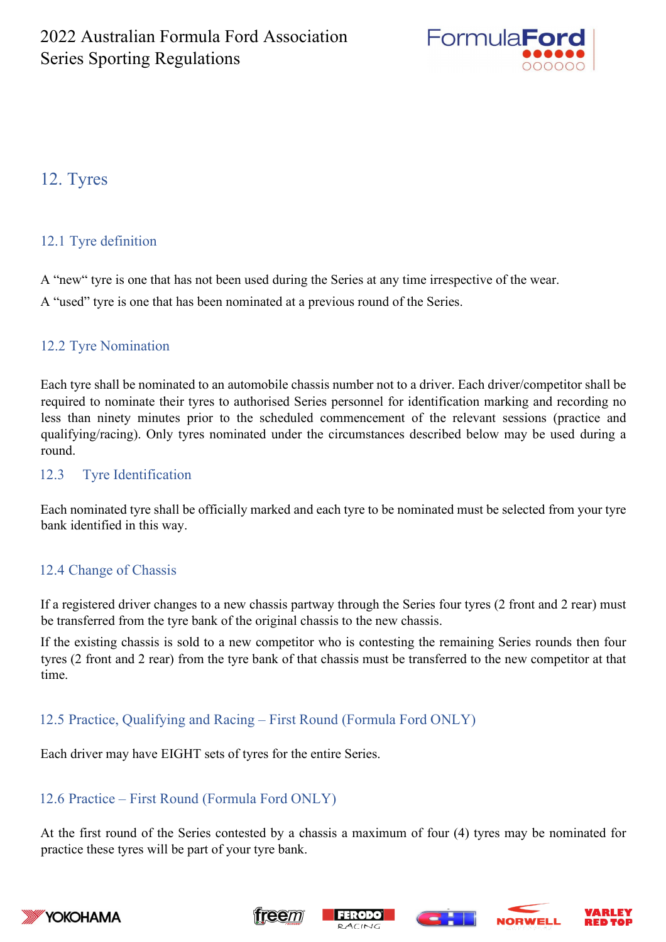

### 12. Tyres

#### 12.1 Tyre definition

A "new" tyre is one that has not been used during the Series at any time irrespective of the wear.

A "used" tyre is one that has been nominated at a previous round of the Series.

#### 12.2 Tyre Nomination

Each tyre shall be nominated to an automobile chassis number not to a driver. Each driver/competitor shall be required to nominate their tyres to authorised Series personnel for identification marking and recording no less than ninety minutes prior to the scheduled commencement of the relevant sessions (practice and qualifying/racing). Only tyres nominated under the circumstances described below may be used during a round.

#### 12.3 Tyre Identification

Each nominated tyre shall be officially marked and each tyre to be nominated must be selected from your tyre bank identified in this way.

#### 12.4 Change of Chassis

If a registered driver changes to a new chassis partway through the Series four tyres (2 front and 2 rear) must be transferred from the tyre bank of the original chassis to the new chassis.

If the existing chassis is sold to a new competitor who is contesting the remaining Series rounds then four tyres (2 front and 2 rear) from the tyre bank of that chassis must be transferred to the new competitor at that time.

#### 12.5 Practice, Qualifying and Racing – First Round (Formula Ford ONLY)

Each driver may have EIGHT sets of tyres for the entire Series.

#### 12.6 Practice – First Round (Formula Ford ONLY)

At the first round of the Series contested by a chassis a maximum of four (4) tyres may be nominated for practice these tyres will be part of your tyre bank.











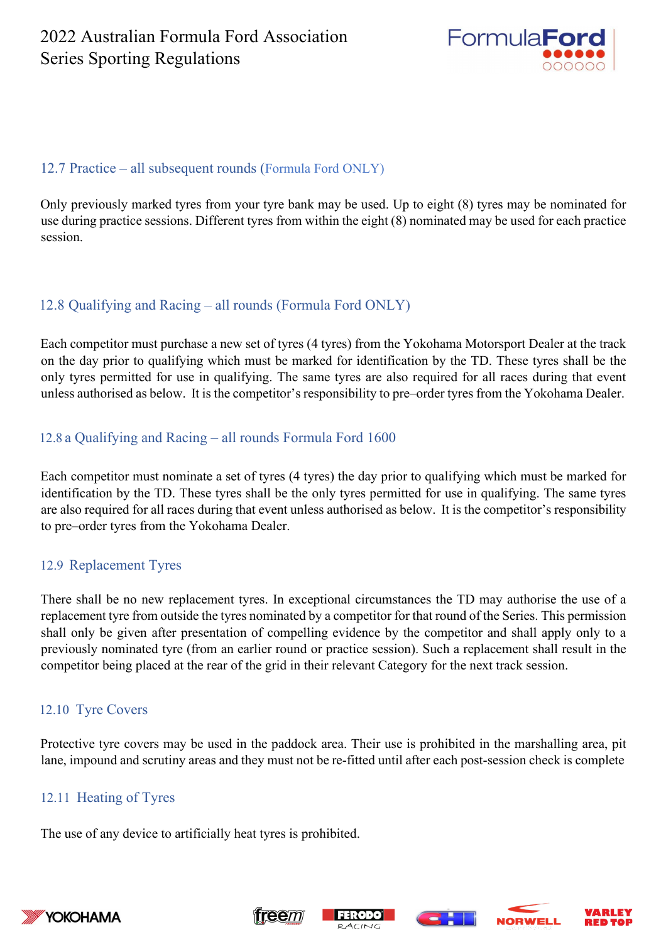

#### 12.7 Practice – all subsequent rounds (Formula Ford ONLY)

Only previously marked tyres from your tyre bank may be used. Up to eight (8) tyres may be nominated for use during practice sessions. Different tyres from within the eight (8) nominated may be used for each practice session.

#### 12.8 Qualifying and Racing – all rounds (Formula Ford ONLY)

Each competitor must purchase a new set of tyres (4 tyres) from the Yokohama Motorsport Dealer at the track on the day prior to qualifying which must be marked for identification by the TD. These tyres shall be the only tyres permitted for use in qualifying. The same tyres are also required for all races during that event unless authorised as below. It is the competitor's responsibility to pre–order tyres from the Yokohama Dealer.

#### 12.8 a Qualifying and Racing – all rounds Formula Ford 1600

Each competitor must nominate a set of tyres (4 tyres) the day prior to qualifying which must be marked for identification by the TD. These tyres shall be the only tyres permitted for use in qualifying. The same tyres are also required for all races during that event unless authorised as below. It is the competitor's responsibility to pre–order tyres from the Yokohama Dealer.

#### 12.9 Replacement Tyres

There shall be no new replacement tyres. In exceptional circumstances the TD may authorise the use of a replacement tyre from outside the tyres nominated by a competitor for that round of the Series. This permission shall only be given after presentation of compelling evidence by the competitor and shall apply only to a previously nominated tyre (from an earlier round or practice session). Such a replacement shall result in the competitor being placed at the rear of the grid in their relevant Category for the next track session.

#### 12.10 Tyre Covers

Protective tyre covers may be used in the paddock area. Their use is prohibited in the marshalling area, pit lane, impound and scrutiny areas and they must not be re-fitted until after each post-session check is complete

#### 12.11 Heating of Tyres

The use of any device to artificially heat tyres is prohibited.











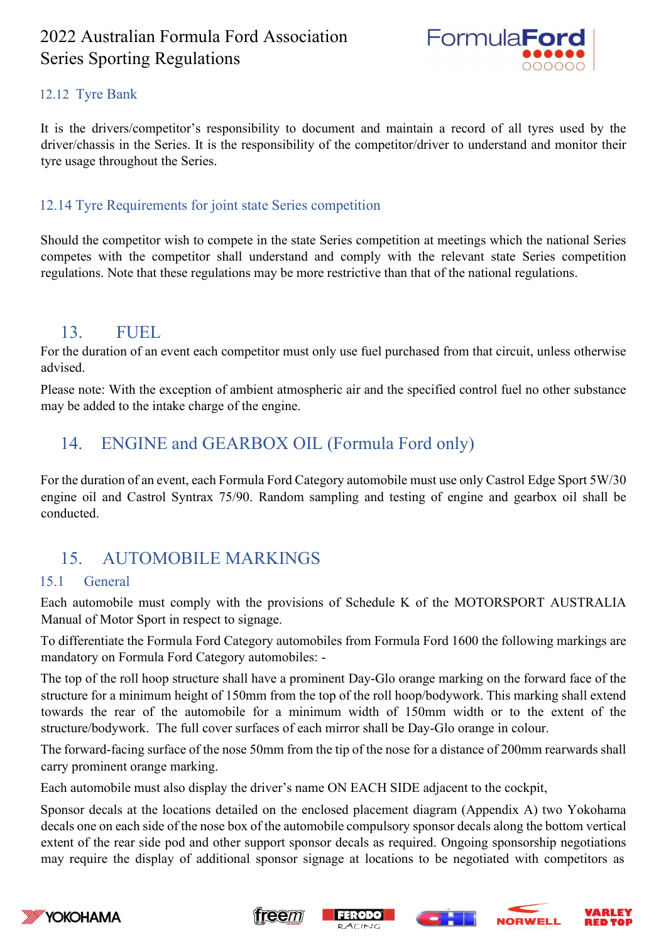

#### 12.12 Tyre Bank

It is the drivers/competitor's responsibility to document and maintain a record of all tyres used by the driver/chassis in the Series. It is the responsibility of the competitor/driver to understand and monitor their tyre usage throughout the Series.

#### 12.14 Tyre Requirements for joint state Series competition

Should the competitor wish to compete in the state Series competition at meetings which the national Series competes with the competitor shall understand and comply with the relevant state Series competition regulations. Note that these regulations may be more restrictive than that of the national regulations.

### 13. FUEL

For the duration of an event each competitor must only use fuel purchased from that circuit, unless otherwise advised.

Please note: With the exception of ambient atmospheric air and the specified control fuel no other substance may be added to the intake charge of the engine.

# 14. ENGINE and GEARBOX OIL (Formula Ford only)

For the duration of an event, each Formula Ford Category automobile must use only Castrol Edge Sport 5W/30 engine oil and Castrol Syntrax 75/90. Random sampling and testing of engine and gearbox oil shall be conducted.

### 15. AUTOMOBILE MARKINGS

#### 15.1 General

Each automobile must comply with the provisions of Schedule K of the MOTORSPORT AUSTRALIA Manual of Motor Sport in respect to signage.

To differentiate the Formula Ford Category automobiles from Formula Ford 1600 the following markings are mandatory on Formula Ford Category automobiles: -

The top of the roll hoop structure shall have a prominent Day-Glo orange marking on the forward face of the structure for a minimum height of 150mm from the top of the roll hoop/bodywork. This marking shall extend towards the rear of the automobile for a minimum width of 150mm width or to the extent of the structure/bodywork. The full cover surfaces of each mirror shall be Day-Glo orange in colour.

The forward-facing surface of the nose 50mm from the tip of the nose for a distance of 200mm rearwards shall carry prominent orange marking.

Each automobile must also display the driver's name ON EACH SIDE adjacent to the cockpit,

Sponsor decals at the locations detailed on the enclosed placement diagram (Appendix A) two Yokohama decals one on each side of the nose box of the automobile compulsory sponsor decals along the bottom vertical extent of the rear side pod and other support sponsor decals as required. Ongoing sponsorship negotiations may require the display of additional sponsor signage at locations to be negotiated with competitors as











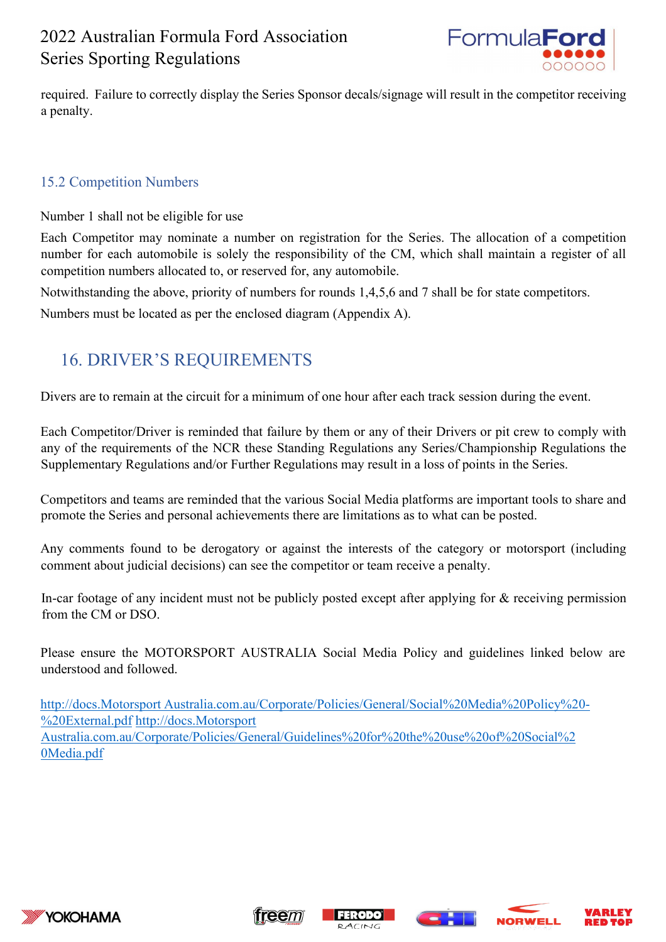

required. Failure to correctly display the Series Sponsor decals/signage will result in the competitor receiving a penalty.

#### 15.2 Competition Numbers

Number 1 shall not be eligible for use

Each Competitor may nominate a number on registration for the Series. The allocation of a competition number for each automobile is solely the responsibility of the CM, which shall maintain a register of all competition numbers allocated to, or reserved for, any automobile.

Notwithstanding the above, priority of numbers for rounds 1,4,5,6 and 7 shall be for state competitors.

Numbers must be located as per the enclosed diagram (Appendix A).

### 16. DRIVER'S REQUIREMENTS

Divers are to remain at the circuit for a minimum of one hour after each track session during the event.

Each Competitor/Driver is reminded that failure by them or any of their Drivers or pit crew to comply with any of the requirements of the NCR these Standing Regulations any Series/Championship Regulations the Supplementary Regulations and/or Further Regulations may result in a loss of points in the Series.

Competitors and teams are reminded that the various Social Media platforms are important tools to share and promote the Series and personal achievements there are limitations as to what can be posted.

Any comments found to be derogatory or against the interests of the category or motorsport (including comment about judicial decisions) can see the competitor or team receive a penalty.

In-car footage of any incident must not be publicly posted except after applying for & receiving permission from the CM or DSO.

Please ensure the MOTORSPORT AUSTRALIA Social Media Policy and guidelines linked below are understood and followed.

http://docs.Motorsport [Australia.com.au/Corporate/Policies/General/Social%20Media%20Policy%20-](http://docs.motorsportaustralia.com.au/Corporate/Policies/General/Social%20Media%20Policy%20-) %20External.pdf [http://docs.Motorsport](http://docs.motorsport/) Australia.com.au/Corporate/Policies/General/Guidelines%20for%20the%20use%20of%20Social%2 0Media.pdf











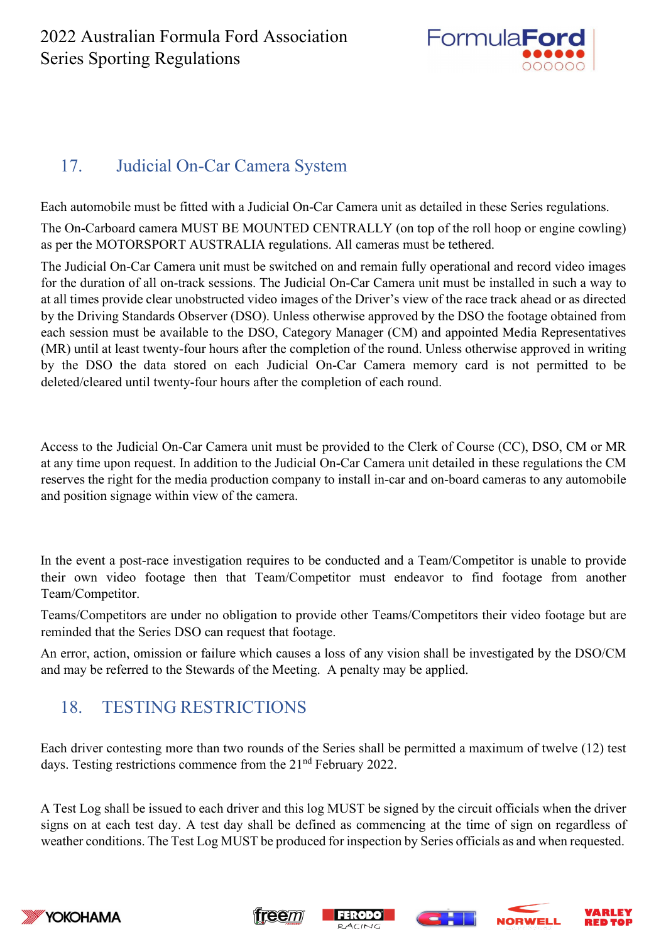

### 17. Judicial On-Car Camera System

Each automobile must be fitted with a Judicial On-Car Camera unit as detailed in these Series regulations.

The On-Carboard camera MUST BE MOUNTED CENTRALLY (on top of the roll hoop or engine cowling) as per the MOTORSPORT AUSTRALIA regulations. All cameras must be tethered.

The Judicial On-Car Camera unit must be switched on and remain fully operational and record video images for the duration of all on-track sessions. The Judicial On-Car Camera unit must be installed in such a way to at all times provide clear unobstructed video images of the Driver's view of the race track ahead or as directed by the Driving Standards Observer (DSO). Unless otherwise approved by the DSO the footage obtained from each session must be available to the DSO, Category Manager (CM) and appointed Media Representatives (MR) until at least twenty-four hours after the completion of the round. Unless otherwise approved in writing by the DSO the data stored on each Judicial On-Car Camera memory card is not permitted to be deleted/cleared until twenty-four hours after the completion of each round.

Access to the Judicial On-Car Camera unit must be provided to the Clerk of Course (CC), DSO, CM or MR at any time upon request. In addition to the Judicial On-Car Camera unit detailed in these regulations the CM reserves the right for the media production company to install in-car and on-board cameras to any automobile and position signage within view of the camera.

In the event a post-race investigation requires to be conducted and a Team/Competitor is unable to provide their own video footage then that Team/Competitor must endeavor to find footage from another Team/Competitor.

Teams/Competitors are under no obligation to provide other Teams/Competitors their video footage but are reminded that the Series DSO can request that footage.

An error, action, omission or failure which causes a loss of any vision shall be investigated by the DSO/CM and may be referred to the Stewards of the Meeting. A penalty may be applied.

### 18. TESTING RESTRICTIONS

Each driver contesting more than two rounds of the Series shall be permitted a maximum of twelve (12) test days. Testing restrictions commence from the 21<sup>nd</sup> February 2022.

A Test Log shall be issued to each driver and this log MUST be signed by the circuit officials when the driver signs on at each test day. A test day shall be defined as commencing at the time of sign on regardless of weather conditions. The Test Log MUST be produced for inspection by Series officials as and when requested.











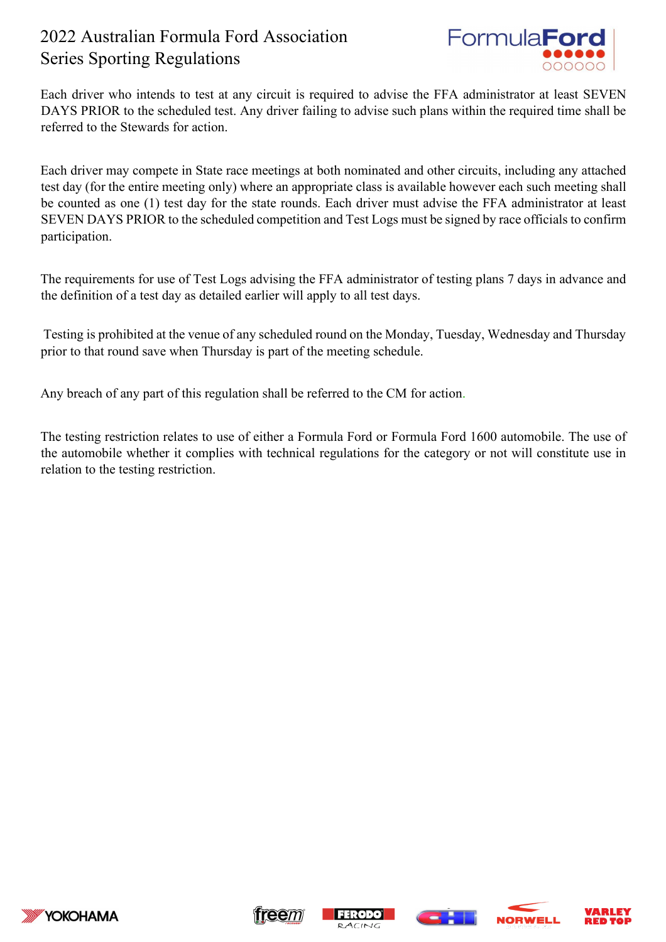

Each driver who intends to test at any circuit is required to advise the FFA administrator at least SEVEN DAYS PRIOR to the scheduled test. Any driver failing to advise such plans within the required time shall be referred to the Stewards for action.

Each driver may compete in State race meetings at both nominated and other circuits, including any attached test day (for the entire meeting only) where an appropriate class is available however each such meeting shall be counted as one (1) test day for the state rounds. Each driver must advise the FFA administrator at least SEVEN DAYS PRIOR to the scheduled competition and Test Logs must be signed by race officials to confirm participation.

The requirements for use of Test Logs advising the FFA administrator of testing plans 7 days in advance and the definition of a test day as detailed earlier will apply to all test days.

Testing is prohibited at the venue of any scheduled round on the Monday, Tuesday, Wednesday and Thursday prior to that round save when Thursday is part of the meeting schedule.

Any breach of any part of this regulation shall be referred to the CM for action.

The testing restriction relates to use of either a Formula Ford or Formula Ford 1600 automobile. The use of the automobile whether it complies with technical regulations for the category or not will constitute use in relation to the testing restriction.











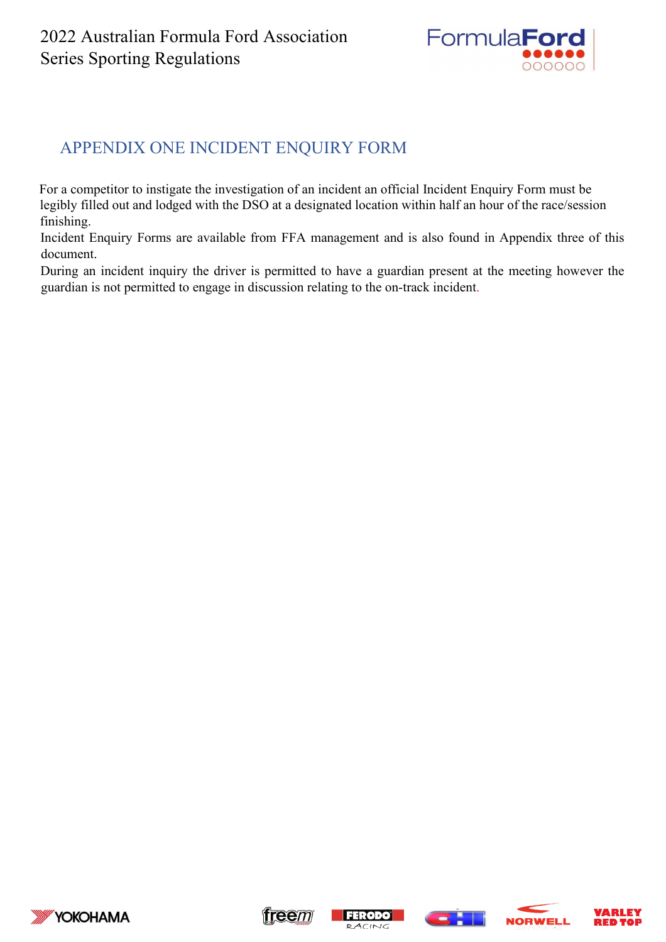

### APPENDIX ONE INCIDENT ENQUIRY FORM

For a competitor to instigate the investigation of an incident an official Incident Enquiry Form must be legibly filled out and lodged with the DSO at a designated location within half an hour of the race/session finishing.

Incident Enquiry Forms are available from FFA management and is also found in Appendix three of this document.

During an incident inquiry the driver is permitted to have a guardian present at the meeting however the guardian is not permitted to engage in discussion relating to the on-track incident.











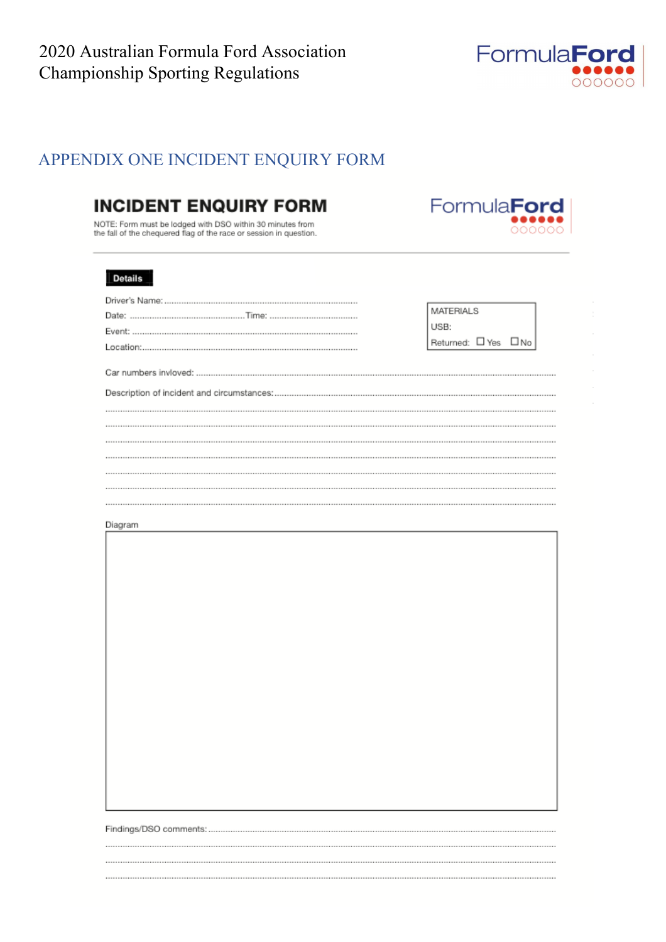

## APPENDIX ONE INCIDENT ENQUIRY FORM

## **INCIDENT ENQUIRY FORM**

NOTE: Form must be lodged with DSO within 30 minutes from the fall of the chequered flag of the race or session in question.

| Formula <b>Ford</b> |            |
|---------------------|------------|
|                     | <br>000000 |

| <b>MATERIALS</b><br>USB:<br>Returned: O Yes O No |
|--------------------------------------------------|
|                                                  |
|                                                  |
|                                                  |
|                                                  |

Diagram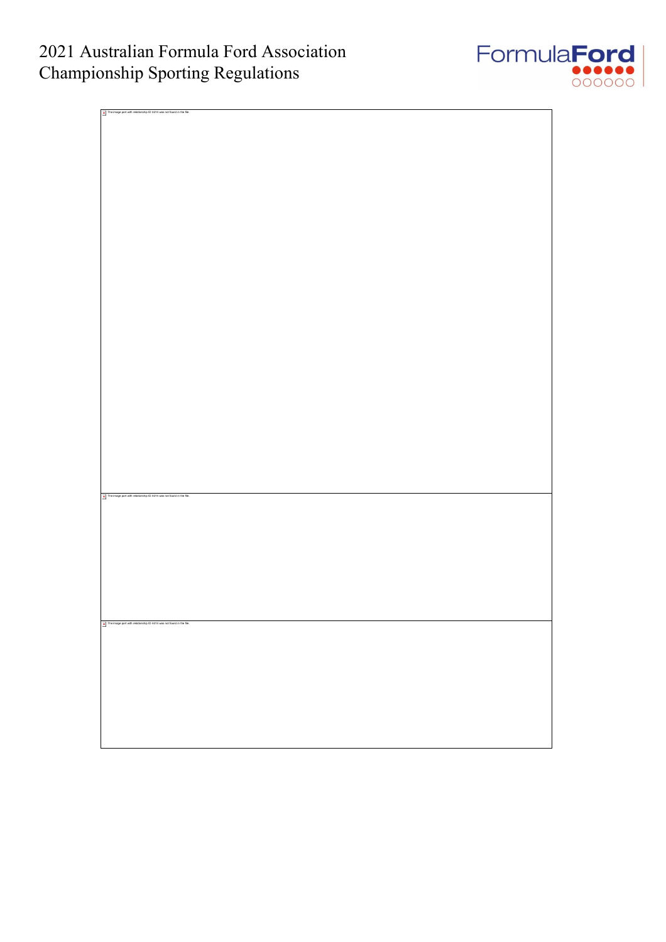# 2021 Australian Formula Ford Association Championship Sporting Regulations

The image part with relationship ID rId14 was not found in the file.



 $\overline{\phantom{0}}$ 

| $\boxed{\mathbf{x}}$ The image part with relationship ID rid14 was not found in the file. |  |
|-------------------------------------------------------------------------------------------|--|
|                                                                                           |  |
|                                                                                           |  |
|                                                                                           |  |
|                                                                                           |  |
|                                                                                           |  |
|                                                                                           |  |
|                                                                                           |  |
|                                                                                           |  |
|                                                                                           |  |
|                                                                                           |  |
|                                                                                           |  |
| $\boxed{\mathbf{x}}$ The image part with relationship ID rid14 was not found in the file. |  |
|                                                                                           |  |
|                                                                                           |  |
|                                                                                           |  |
|                                                                                           |  |
|                                                                                           |  |
|                                                                                           |  |
|                                                                                           |  |
|                                                                                           |  |
|                                                                                           |  |
|                                                                                           |  |
|                                                                                           |  |